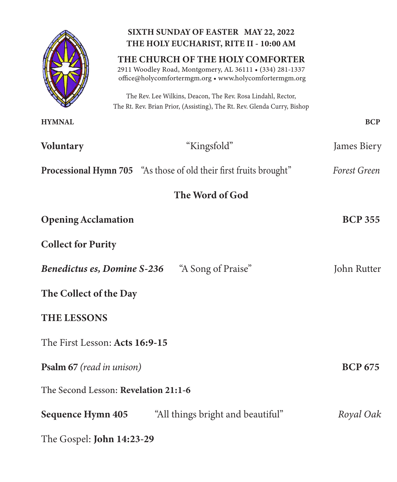|                                                          | SIXTH SUNDAY OF EASTER MAY 22, 2022<br>THE HOLY EUCHARIST, RITE II - 10:00 AM                                                                          |                |  |
|----------------------------------------------------------|--------------------------------------------------------------------------------------------------------------------------------------------------------|----------------|--|
|                                                          | THE CHURCH OF THE HOLY COMFORTER<br>2911 Woodley Road, Montgomery, AL 36111 . (334) 281-1337<br>office@holycomfortermgm.org . www.holycomfortermgm.org |                |  |
|                                                          | The Rev. Lee Wilkins, Deacon, The Rev. Rosa Lindahl, Rector,<br>The Rt. Rev. Brian Prior, (Assisting), The Rt. Rev. Glenda Curry, Bishop               |                |  |
| <b>HYMNAL</b>                                            |                                                                                                                                                        | <b>BCP</b>     |  |
| <b>Voluntary</b>                                         | "Kingsfold"                                                                                                                                            | James Biery    |  |
|                                                          | <b>Processional Hymn 705</b> "As those of old their first fruits brought"                                                                              | Forest Green   |  |
| The Word of God                                          |                                                                                                                                                        |                |  |
| <b>Opening Acclamation</b>                               |                                                                                                                                                        | <b>BCP 355</b> |  |
| <b>Collect for Purity</b>                                |                                                                                                                                                        |                |  |
| "A Song of Praise"<br><b>Benedictus es, Domine S-236</b> |                                                                                                                                                        | John Rutter    |  |
| The Collect of the Day                                   |                                                                                                                                                        |                |  |
| <b>THE LESSONS</b>                                       |                                                                                                                                                        |                |  |
| The First Lesson: Acts 16:9-15                           |                                                                                                                                                        |                |  |
| <b>Psalm 67</b> (read in unison)                         |                                                                                                                                                        | <b>BCP 675</b> |  |
| The Second Lesson: Revelation 21:1-6                     |                                                                                                                                                        |                |  |
| <b>Sequence Hymn 405</b>                                 | "All things bright and beautiful"                                                                                                                      | Royal Oak      |  |
| The Gospel: <b>John 14:23-29</b>                         |                                                                                                                                                        |                |  |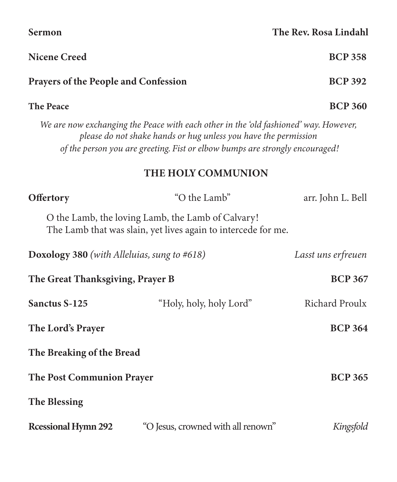| <b>The Peace</b>                                   |                                                                                                                                                                                                                                         | <b>BCP 360</b>     |
|----------------------------------------------------|-----------------------------------------------------------------------------------------------------------------------------------------------------------------------------------------------------------------------------------------|--------------------|
|                                                    | We are now exchanging the Peace with each other in the 'old fashioned' way. However,<br>please do not shake hands or hug unless you have the permission<br>of the person you are greeting. Fist or elbow bumps are strongly encouraged! |                    |
|                                                    | THE HOLY COMMUNION                                                                                                                                                                                                                      |                    |
| <b>Offertory</b>                                   | "O the Lamb"                                                                                                                                                                                                                            | arr. John L. Bell  |
|                                                    | O the Lamb, the loving Lamb, the Lamb of Calvary!<br>The Lamb that was slain, yet lives again to intercede for me.                                                                                                                      |                    |
| <b>Doxology 380</b> (with Alleluias, sung to #618) |                                                                                                                                                                                                                                         | Lasst uns erfreuen |
| The Great Thanksgiving, Prayer B                   |                                                                                                                                                                                                                                         | <b>BCP 367</b>     |
| <b>Sanctus S-125</b>                               | "Holy, holy, holy Lord"                                                                                                                                                                                                                 | Richard Proulx     |
| <b>The Lord's Prayer</b>                           |                                                                                                                                                                                                                                         | <b>BCP 364</b>     |
| The Breaking of the Bread                          |                                                                                                                                                                                                                                         |                    |
| <b>The Post Communion Prayer</b>                   |                                                                                                                                                                                                                                         | <b>BCP 365</b>     |
| <b>The Blessing</b>                                |                                                                                                                                                                                                                                         |                    |
| <b>Ressional Hymn 292</b>                          | "O Jesus, crowned with all renown"                                                                                                                                                                                                      | Kingsfold          |

Nicene Creed BCP 358

Prayers of the People and Confession BCP 392

Sermon The Rev. Rosa Lindahl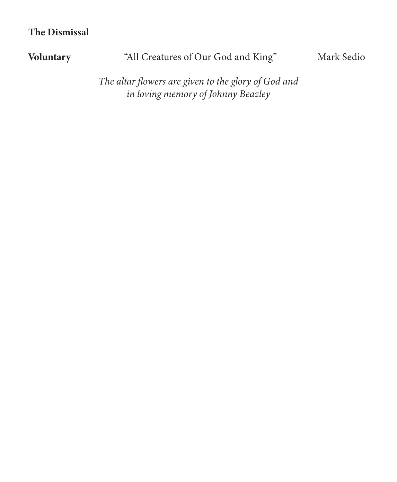## The Dismissal

# Voluntary "All Creatures of Our God and King" Mark Sedio

*The altar flowers are given to the glory of God and in loving memory of Johnny Beazley*